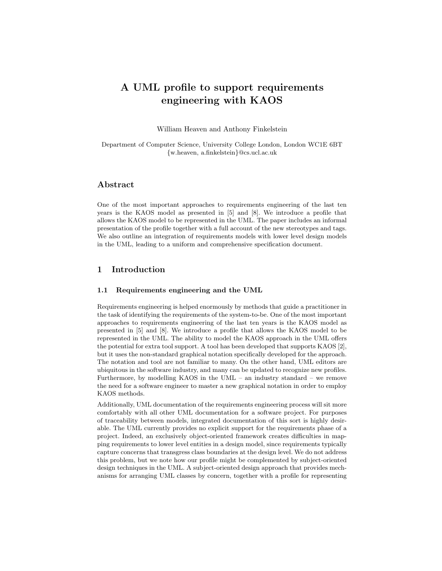# A UML profile to support requirements engineering with KAOS

William Heaven and Anthony Finkelstein

Department of Computer Science, University College London, London WC1E 6BT {w.heaven, a.finkelstein}@cs.ucl.ac.uk

## Abstract

One of the most important approaches to requirements engineering of the last ten years is the KAOS model as presented in [5] and [8]. We introduce a profile that allows the KAOS model to be represented in the UML. The paper includes an informal presentation of the profile together with a full account of the new stereotypes and tags. We also outline an integration of requirements models with lower level design models in the UML, leading to a uniform and comprehensive specification document.

## 1 Introduction

#### 1.1 Requirements engineering and the UML

Requirements engineering is helped enormously by methods that guide a practitioner in the task of identifying the requirements of the system-to-be. One of the most important approaches to requirements engineering of the last ten years is the KAOS model as presented in [5] and [8]. We introduce a profile that allows the KAOS model to be represented in the UML. The ability to model the KAOS approach in the UML offers the potential for extra tool support. A tool has been developed that supports KAOS [2], but it uses the non-standard graphical notation specifically developed for the approach. The notation and tool are not familiar to many. On the other hand, UML editors are ubiquitous in the software industry, and many can be updated to recognize new profiles. Furthermore, by modelling KAOS in the UML – an industry standard – we remove the need for a software engineer to master a new graphical notation in order to employ KAOS methods.

Additionally, UML documentation of the requirements engineering process will sit more comfortably with all other UML documentation for a software project. For purposes of traceability between models, integrated documentation of this sort is highly desirable. The UML currently provides no explicit support for the requirements phase of a project. Indeed, an exclusively object-oriented framework creates difficulties in mapping requirements to lower level entities in a design model, since requirements typically capture concerns that transgress class boundaries at the design level. We do not address this problem, but we note how our profile might be complemented by subject-oriented design techniques in the UML. A subject-oriented design approach that provides mechanisms for arranging UML classes by concern, together with a profile for representing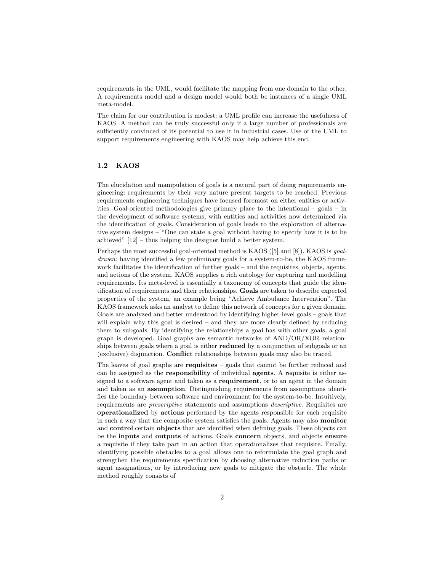requirements in the UML, would facilitate the mapping from one domain to the other. A requirements model and a design model would both be instances of a single UML meta-model.

The claim for our contribution is modest: a UML profile can increase the usefulness of KAOS. A method can be truly successful only if a large number of professionals are sufficiently convinced of its potential to use it in industrial cases. Use of the UML to support requirements engineering with KAOS may help achieve this end.

## 1.2 KAOS

The elucidation and manipulation of goals is a natural part of doing requirements engineering: requirements by their very nature present targets to be reached. Previous requirements engineering techniques have focused foremost on either entities or activities. Goal-oriented methodologies give primary place to the intentional – goals – in the development of software systems, with entities and activities now determined via the identification of goals. Consideration of goals leads to the exploration of alternative system designs – "One can state a goal without having to specify how it is to be achieved" [12] – thus helping the designer build a better system.

Perhaps the most successful goal-oriented method is KAOS ([5] and [8]). KAOS is goaldriven: having identified a few preliminary goals for a system-to-be, the KAOS framework facilitates the identification of further goals – and the requisites, objects, agents, and actions of the system. KAOS supplies a rich ontology for capturing and modelling requirements. Its meta-level is essentially a taxonomy of concepts that guide the identification of requirements and their relationships. Goals are taken to describe expected properties of the system, an example being "Achieve Ambulance Intervention". The KAOS framework asks an analyst to define this network of concepts for a given domain. Goals are analyzed and better understood by identifying higher-level goals – goals that will explain why this goal is desired – and they are more clearly defined by reducing them to subgoals. By identifying the relationships a goal has with other goals, a goal graph is developed. Goal graphs are semantic networks of AND/OR/XOR relationships between goals where a goal is either **reduced** by a conjunction of subgoals or an (exclusive) disjunction. Conflict relationships between goals may also be traced.

The leaves of goal graphs are requisites – goals that cannot be further reduced and can be assigned as the responsibility of individual agents. A requisite is either assigned to a software agent and taken as a requirement, or to an agent in the domain and taken as an assumption. Distinguishing requirements from assumptions identifies the boundary between software and environment for the system-to-be. Intuitively, requirements are prescriptive statements and assumptions descriptive. Requisites are operationalized by actions performed by the agents responsible for each requisite in such a way that the composite system satisfies the goals. Agents may also monitor and **control** certain **objects** that are identified when defining goals. These objects can be the inputs and outputs of actions. Goals concern objects, and objects ensure a requisite if they take part in an action that operationalizes that requisite. Finally, identifying possible obstacles to a goal allows one to reformulate the goal graph and strengthen the requirements specification by choosing alternative reduction paths or agent assignations, or by introducing new goals to mitigate the obstacle. The whole method roughly consists of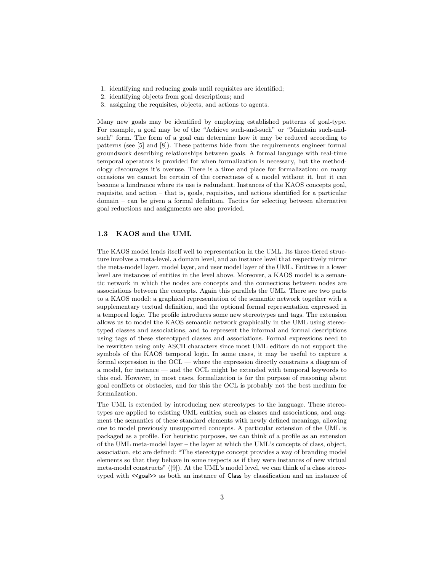- 1. identifying and reducing goals until requisites are identified;
- 2. identifying objects from goal descriptions; and
- 3. assigning the requisites, objects, and actions to agents.

Many new goals may be identified by employing established patterns of goal-type. For example, a goal may be of the "Achieve such-and-such" or "Maintain such-andsuch" form. The form of a goal can determine how it may be reduced according to patterns (see [5] and [8]). These patterns hide from the requirements engineer formal groundwork describing relationships between goals. A formal language with real-time temporal operators is provided for when formalization is necessary, but the methodology discourages it's overuse. There is a time and place for formalization: on many occasions we cannot be certain of the correctness of a model without it, but it can become a hindrance where its use is redundant. Instances of the KAOS concepts goal, requisite, and action – that is, goals, requisites, and actions identified for a particular domain – can be given a formal definition. Tactics for selecting between alternative goal reductions and assignments are also provided.

#### 1.3 KAOS and the UML

The KAOS model lends itself well to representation in the UML. Its three-tiered structure involves a meta-level, a domain level, and an instance level that respectively mirror the meta-model layer, model layer, and user model layer of the UML. Entities in a lower level are instances of entities in the level above. Moreover, a KAOS model is a semantic network in which the nodes are concepts and the connections between nodes are associations between the concepts. Again this parallels the UML. There are two parts to a KAOS model: a graphical representation of the semantic network together with a supplementary textual definition, and the optional formal representation expressed in a temporal logic. The profile introduces some new stereotypes and tags. The extension allows us to model the KAOS semantic network graphically in the UML using stereotyped classes and associations, and to represent the informal and formal descriptions using tags of these stereotyped classes and associations. Formal expressions need to be rewritten using only ASCII characters since most UML editors do not support the symbols of the KAOS temporal logic. In some cases, it may be useful to capture a formal expression in the OCL — where the expression directly constrains a diagram of a model, for instance — and the OCL might be extended with temporal keywords to this end. However, in most cases, formalization is for the purpose of reasoning about goal conflicts or obstacles, and for this the OCL is probably not the best medium for formalization.

The UML is extended by introducing new stereotypes to the language. These stereotypes are applied to existing UML entities, such as classes and associations, and augment the semantics of these standard elements with newly defined meanings, allowing one to model previously unsupported concepts. A particular extension of the UML is packaged as a profile. For heuristic purposes, we can think of a profile as an extension of the UML meta-model layer – the layer at which the UML's concepts of class, object, association, etc are defined: "The stereotype concept provides a way of branding model elements so that they behave in some respects as if they were instances of new virtual meta-model constructs" ([9]). At the UML's model level, we can think of a class stereotyped with  $\langle \text{sgo} \rangle$  as both an instance of Class by classification and an instance of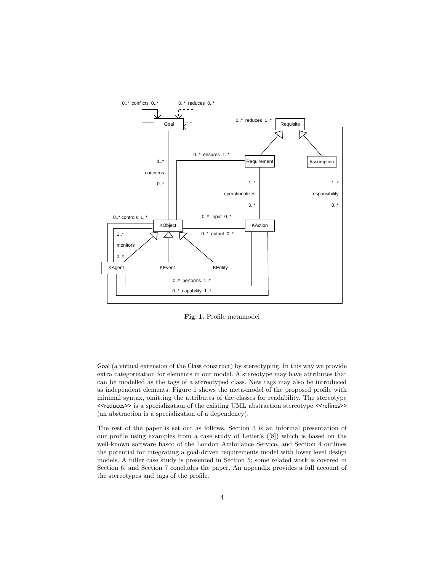

Fig. 1. Profile metamodel

Goal (a virtual extension of the Class construct) by stereotyping. In this way we provide extra categorization for elements in our model. A stereotype may have attributes that can be modelled as the tags of a stereotyped class. New tags may also be introduced as independent elements. Figure 1 shows the meta-model of the proposed profile with minimal syntax, omitting the attributes of the classes for readability. The stereotype <<reduces>> is a specialization of the existing UML abstraction stereotype <<refines>> (an abstraction is a specialization of a dependency).

The rest of the paper is set out as follows. Section 3 is an informal presentation of our profile using examples from a case study of Letier's ([8]) which is based on the well-known software fiasco of the London Ambulance Service, and Section 4 outlines the potential for integrating a goal-driven requirements model with lower level design models. A fuller case study is presented in Section 5; some related work is covered in Section 6; and Section 7 concludes the paper. An appendix provides a full account of the stereotypes and tags of the profile.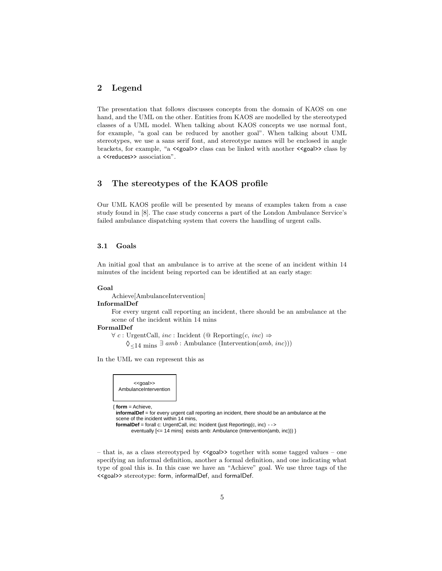## 2 Legend

The presentation that follows discusses concepts from the domain of KAOS on one hand, and the UML on the other. Entities from KAOS are modelled by the stereotyped classes of a UML model. When talking about KAOS concepts we use normal font, for example, "a goal can be reduced by another goal". When talking about UML stereotypes, we use a sans serif font, and stereotype names will be enclosed in angle brackets, for example, "a <<goal>> class can be linked with another <<goal>> class by a <<reduces>> association".

## 3 The stereotypes of the KAOS profile

Our UML KAOS profile will be presented by means of examples taken from a case study found in [8]. The case study concerns a part of the London Ambulance Service's failed ambulance dispatching system that covers the handling of urgent calls.

#### 3.1 Goals

An initial goal that an ambulance is to arrive at the scene of an incident within 14 minutes of the incident being reported can be identified at an early stage:

#### Goal

Achieve[AmbulanceIntervention]

## InformalDef

For every urgent call reporting an incident, there should be an ambulance at the scene of the incident within 14 mins

#### FormalDef

 $\forall c : \text{UrgentCall}, \text{inc}: \text{Incident}$  (@ Reporting $(c, \text{inc}) \Rightarrow$ 

 $\Diamond_{<14 \text{ mins}} \exists \text{ amb : Ambulance (Interior(amb, inc)))}$ 

In the UML we can represent this as



{ **form** = Achieve,

informalDef = for every urgent call reporting an incident, there should be an ambulance at the scene of the incident within 14 mins,

eventually [<= 14 mins] exists amb: Ambulance (Intervention(amb, inc))) }

– that is, as a class stereotyped by <<goal>> together with some tagged values – one specifying an informal definition, another a formal definition, and one indicating what type of goal this is. In this case we have an "Achieve" goal. We use three tags of the <<goal>> stereotype: form, informalDef, and formalDef.

**formalDef** = forall c: UrgentCall, inc: Incident (just Reporting(c, inc) -->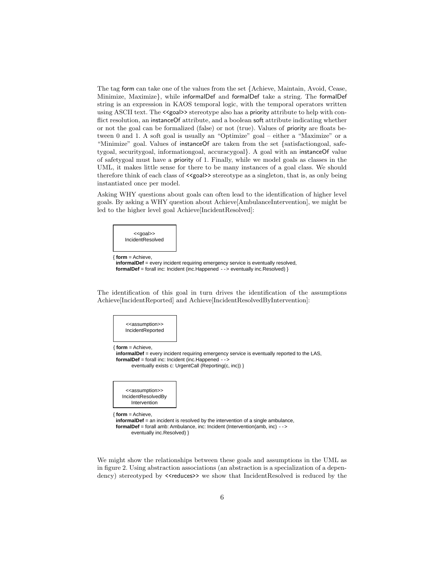The tag form can take one of the values from the set {Achieve, Maintain, Avoid, Cease, Minimize, Maximize}, while informalDef and formalDef take a string. The formalDef string is an expression in KAOS temporal logic, with the temporal operators written using ASCII text. The  $\langle \text{sgas} \rangle$  stereotype also has a priority attribute to help with conflict resolution, an instance Of attribute, and a boolean soft attribute indicating whether or not the goal can be formalized (false) or not (true). Values of priority are floats between 0 and 1. A soft goal is usually an "Optimize" goal – either a "Maximize" or a "Minimize" goal. Values of instanceOf are taken from the set {satisfactiongoal, safetygoal, securitygoal, informationgoal, accuracygoal}. A goal with an instanceOf value of safetygoal must have a priority of 1. Finally, while we model goals as classes in the UML, it makes little sense for there to be many instances of a goal class. We should therefore think of each class of  $\langle$ goal>> stereotype as a singleton, that is, as only being instantiated once per model.

Asking WHY questions about goals can often lead to the identification of higher level goals. By asking a WHY question about Achieve[AmbulanceIntervention], we might be led to the higher level goal Achieve[IncidentResolved]:

| $<<$ goal>>      |
|------------------|
| IncidentResolved |
|                  |

{ **form** = Achieve,

**informalDef** = every incident requiring emergency service is eventually resolved, **formalDef** = forall inc: Incident (inc.Happened --> eventually inc.Resolved) }

The identification of this goal in turn drives the identification of the assumptions Achieve[IncidentReported] and Achieve[IncidentResolvedByIntervention]:



{ **form** = Achieve,

**informalDef** = every incident requiring emergency service is eventually reported to the LAS,  **formalDef** = forall inc: Incident (inc.Happened --> eventually exists c: UrgentCall (Reporting(c, inc)) }

<<assumption>> IncidentResolvedBy Intervention

{ **form** = Achieve,

**informalDef** = an incident is resolved by the intervention of a single ambulance, **formalDef** = forall amb: Ambulance, inc: Incident (Intervention(amb, inc) --> eventually inc.Resolved) }

We might show the relationships between these goals and assumptions in the UML as in figure 2. Using abstraction associations (an abstraction is a specialization of a dependency) stereotyped by  $\prec$ reduces>> we show that IncidentResolved is reduced by the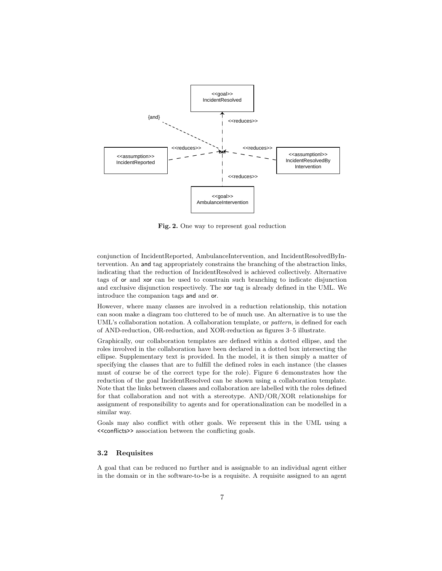

Fig. 2. One way to represent goal reduction

conjunction of IncidentReported, AmbulanceIntervention, and IncidentResolvedByIntervention. An and tag appropriately constrains the branching of the abstraction links, indicating that the reduction of IncidentResolved is achieved collectively. Alternative tags of or and xor can be used to constrain such branching to indicate disjunction and exclusive disjunction respectively. The xor tag is already defined in the UML. We introduce the companion tags and and or.

However, where many classes are involved in a reduction relationship, this notation can soon make a diagram too cluttered to be of much use. An alternative is to use the UML's collaboration notation. A collaboration template, or pattern, is defined for each of AND-reduction, OR-reduction, and XOR-reduction as figures 3–5 illustrate.

Graphically, our collaboration templates are defined within a dotted ellipse, and the roles involved in the collaboration have been declared in a dotted box intersecting the ellipse. Supplementary text is provided. In the model, it is then simply a matter of specifying the classes that are to fulfill the defined roles in each instance (the classes must of course be of the correct type for the role). Figure 6 demonstrates how the reduction of the goal IncidentResolved can be shown using a collaboration template. Note that the links between classes and collaboration are labelled with the roles defined for that collaboration and not with a stereotype. AND/OR/XOR relationships for assignment of responsibility to agents and for operationalization can be modelled in a similar way.

Goals may also conflict with other goals. We represent this in the UML using a <<conflicts>> association between the conflicting goals.

#### 3.2 Requisites

A goal that can be reduced no further and is assignable to an individual agent either in the domain or in the software-to-be is a requisite. A requisite assigned to an agent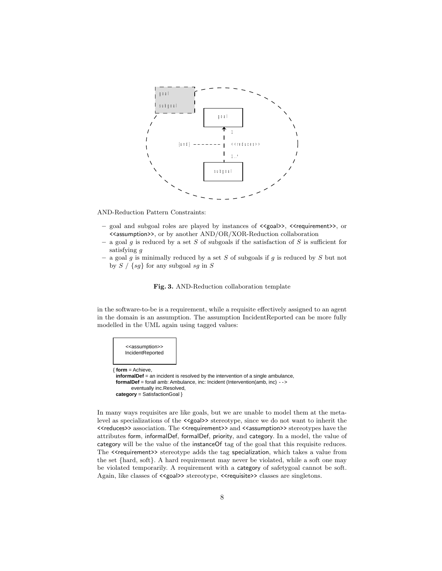

AND-Reduction Pattern Constraints:

- goal and subgoal roles are played by instances of <<goal>>, <<requirement>>, or <<assumption>>, or by another AND/OR/XOR-Reduction collaboration
- a goal g is reduced by a set S of subgoals if the satisfaction of S is sufficient for satisfying g
- a goal  $g$  is minimally reduced by a set  $S$  of subgoals if  $g$  is reduced by  $S$  but not by  $S / \{sg\}$  for any subgoal sg in S

Fig. 3. AND-Reduction collaboration template

in the software-to-be is a requirement, while a requisite effectively assigned to an agent in the domain is an assumption. The assumption IncidentReported can be more fully modelled in the UML again using tagged values:



{ **form** = Achieve,

In many ways requisites are like goals, but we are unable to model them at the metalevel as specializations of the <<goal>> stereotype, since we do not want to inherit the <<reduces>> association. The <<requirement>> and <<assumption>> stereotypes have the attributes form, informalDef, formalDef, priority, and category. In a model, the value of category will be the value of the instanceOf tag of the goal that this requisite reduces. The <<requirement>> stereotype adds the tag specialization, which takes a value from the set {hard, soft}. A hard requirement may never be violated, while a soft one may be violated temporarily. A requirement with a category of safetygoal cannot be soft. Again, like classes of <<goal>> stereotype, <<requisite>> classes are singletons.

**informalDef** = an incident is resolved by the intervention of a single ambulance, **formalDef** = forall amb: Ambulance, inc: Incident (Intervention(amb, inc) --> eventually inc.Resolved, **category** = SatisfactionGoal }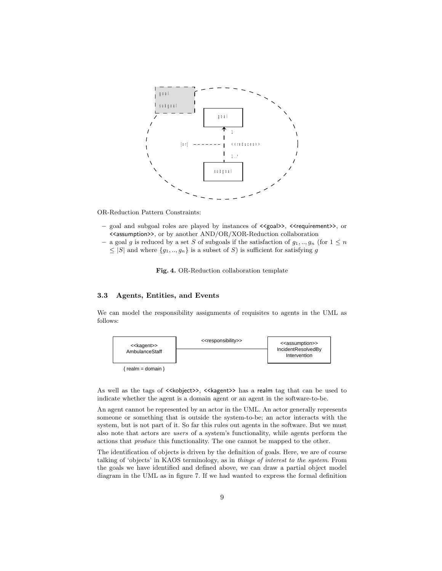

OR-Reduction Pattern Constraints:

- goal and subgoal roles are played by instances of <<goal>>, <<requirement>>, or <<assumption>>, or by another AND/OR/XOR-Reduction collaboration
- a goal g is reduced by a set S of subgoals if the satisfaction of  $g_1, ..., g_n$  (for  $1 \leq n$ )  $\leq |S|$  and where  $\{g_1, ..., g_n\}$  is a subset of S) is sufficient for satisfying g

Fig. 4. OR-Reduction collaboration template

#### 3.3 Agents, Entities, and Events

We can model the responsibility assignments of requisites to agents in the UML as follows:



As well as the tags of  $\langle\langle\kappa\rangle\rangle$   $\langle\langle\kappa\rangle\rangle\rangle$   $\langle\langle\kappa\rangle\rangle\rangle$  has a realm tag that can be used to indicate whether the agent is a domain agent or an agent in the software-to-be.

An agent cannot be represented by an actor in the UML. An actor generally represents someone or something that is outside the system-to-be; an actor interacts with the system, but is not part of it. So far this rules out agents in the software. But we must also note that actors are users of a system's functionality, while agents perform the actions that produce this functionality. The one cannot be mapped to the other.

The identification of objects is driven by the definition of goals. Here, we are of course talking of 'objects' in KAOS terminology, as in things of interest to the system. From the goals we have identified and defined above, we can draw a partial object model diagram in the UML as in figure 7. If we had wanted to express the formal definition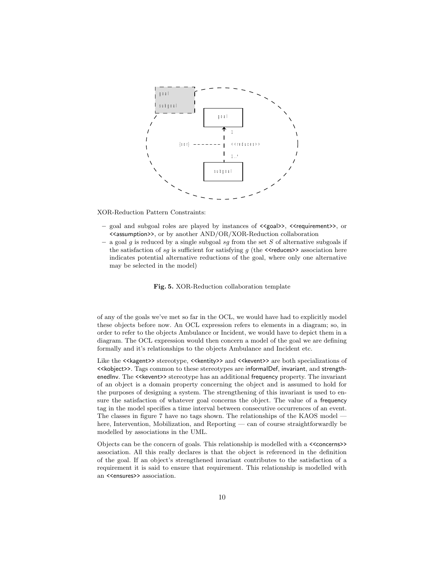

XOR-Reduction Pattern Constraints:

- goal and subgoal roles are played by instances of <<goal>>, <<requirement>>, or <<assumption>>, or by another AND/OR/XOR-Reduction collaboration
- a goal g is reduced by a single subgoal sg from the set  $S$  of alternative subgoals if the satisfaction of  $sg$  is sufficient for satisfying  $g$  (the  $\prec$ reduces>> association here indicates potential alternative reductions of the goal, where only one alternative may be selected in the model)

Fig. 5. XOR-Reduction collaboration template

of any of the goals we've met so far in the OCL, we would have had to explicitly model these objects before now. An OCL expression refers to elements in a diagram; so, in order to refer to the objects Ambulance or Incident, we would have to depict them in a diagram. The OCL expression would then concern a model of the goal we are defining formally and it's relationships to the objects Ambulance and Incident etc.

Like the <<kagent>> stereotype, <<kentity>> and <<kevent>> are both specializations of <<kobject>>. Tags common to these stereotypes are informalDef, invariant, and strengthenedInv. The <<kevent>> stereotype has an additional frequency property. The invariant of an object is a domain property concerning the object and is assumed to hold for the purposes of designing a system. The strengthening of this invariant is used to ensure the satisfaction of whatever goal concerns the object. The value of a frequency tag in the model specifies a time interval between consecutive occurrences of an event. The classes in figure 7 have no tags shown. The relationships of the KAOS model here, Intervention, Mobilization, and Reporting — can of course straightforwardly be modelled by associations in the UML.

Objects can be the concern of goals. This relationship is modelled with a  $\prec$  concerns>> association. All this really declares is that the object is referenced in the definition of the goal. If an object's strengthened invariant contributes to the satisfaction of a requirement it is said to ensure that requirement. This relationship is modelled with an <<ensures>> association.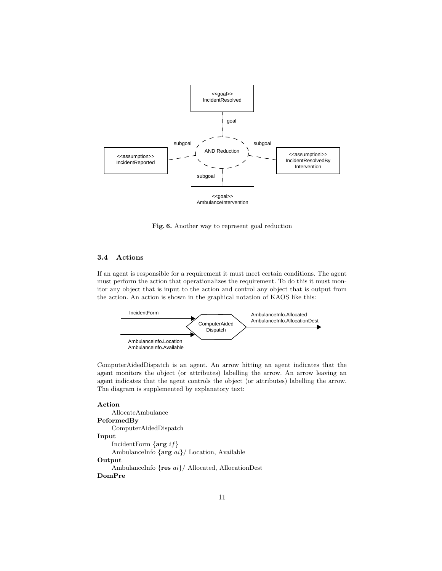

Fig. 6. Another way to represent goal reduction

#### 3.4 Actions

If an agent is responsible for a requirement it must meet certain conditions. The agent must perform the action that operationalizes the requirement. To do this it must monitor any object that is input to the action and control any object that is output from the action. An action is shown in the graphical notation of KAOS like this:



ComputerAidedDispatch is an agent. An arrow hitting an agent indicates that the agent monitors the object (or attributes) labelling the arrow. An arrow leaving an agent indicates that the agent controls the object (or attributes) labelling the arrow. The diagram is supplemented by explanatory text:

### Action

```
AllocateAmbulance
PeformedBy
    ComputerAidedDispatch
Input
    IncidentForm \{ \arg if \}AmbulanceInfo {arg ai}/ Location, Available
Output
    AmbulanceInfo {res ai}/ Allocated, AllocationDest
DomPre
```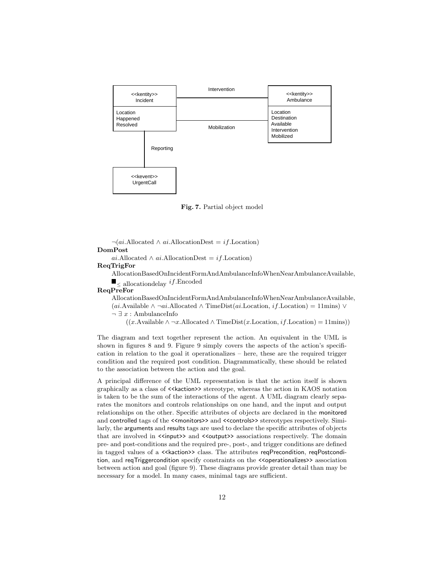

Fig. 7. Partial object model

 $\neg (ai. \text{Allocated} \land ai. \text{AllocationDest} = if \text{.Location})$ DomPost ai.Allocated  $\land$  ai.AllocationDest = if.Location)

#### ReqTrigFor

AllocationBasedOnIncidentFormAndAmbulanceInfoWhenNearAmbulanceAvailable,

 $\blacksquare$  < allocationdelay if Encoded

#### ReqPreFor

AllocationBasedOnIncidentFormAndAmbulanceInfoWhenNearAmbulanceAvailable,  $(ai.\text{Available } \wedge \neg ai.\text{Allocated } \wedge \text{TimeDist}(ai.\text{Location}, if.\text{Location}) = 11 \text{mins}) \vee$ 

```
\neg \exists x : AmbulanceInfo
```
 $((x.\text{Available} \land \neg x.\text{Allocated} \land \text{TimeDist}(x.\text{Location}, if.\text{Location}) = 11 \text{mins}))$ 

The diagram and text together represent the action. An equivalent in the UML is shown in figures 8 and 9. Figure 9 simply covers the aspects of the action's specification in relation to the goal it operationalizes – here, these are the required trigger condition and the required post condition. Diagrammatically, these should be related to the association between the action and the goal.

A principal difference of the UML representation is that the action itself is shown graphically as a class of <<kaction>> stereotype, whereas the action in KAOS notation is taken to be the sum of the interactions of the agent. A UML diagram clearly separates the monitors and controls relationships on one hand, and the input and output relationships on the other. Specific attributes of objects are declared in the monitored and controlled tags of the <<monitors>> and <<controls>> stereotypes respectively. Similarly, the arguments and results tags are used to declare the specific attributes of objects that are involved in  $\langle\langle \text{input}\rangle \rangle$  and  $\langle\langle \text{output}\rangle \rangle$  associations respectively. The domain pre- and post-conditions and the required pre-, post-, and trigger conditions are defined in tagged values of a <<kaction>> class. The attributes reqPrecondition, reqPostcondition, and reqTriggercondition specify constraints on the <<operationalizes>> association between action and goal (figure 9). These diagrams provide greater detail than may be necessary for a model. In many cases, minimal tags are sufficient.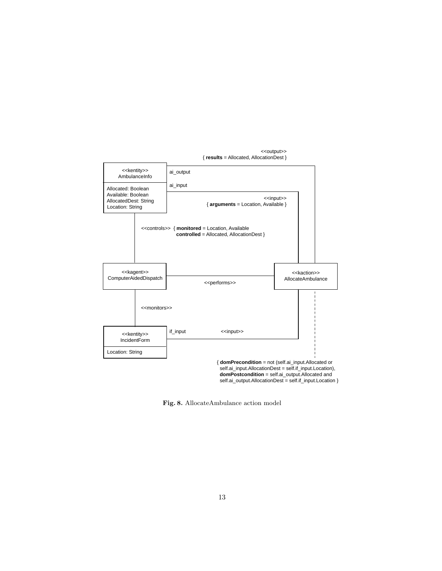

<<output>> { **results** = Allocated, AllocationDest }

Fig. 8. AllocateAmbulance action model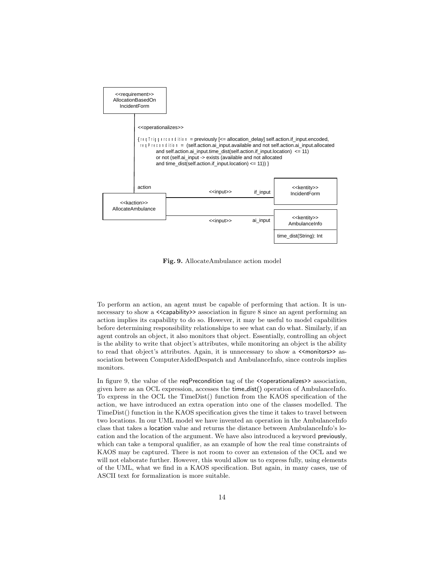

Fig. 9. AllocateAmbulance action model

To perform an action, an agent must be capable of performing that action. It is unnecessary to show a <<capability>> association in figure 8 since an agent performing an action implies its capability to do so. However, it may be useful to model capabilities before determining responsibility relationships to see what can do what. Similarly, if an agent controls an object, it also monitors that object. Essentially, controlling an object is the ability to write that object's attributes, while monitoring an object is the ability to read that object's attributes. Again, it is unnecessary to show a  $\prec$  monitors>> association between ComputerAidedDespatch and AmbulanceInfo, since controls implies monitors.

In figure 9, the value of the reqPrecondition tag of the <<operationalizes>> association, given here as an OCL expression, accesses the time dist() operation of AmbulanceInfo. To express in the OCL the TimeDist() function from the KAOS specification of the action, we have introduced an extra operation into one of the classes modelled. The TimeDist() function in the KAOS specification gives the time it takes to travel between two locations. In our UML model we have invented an operation in the AmbulanceInfo class that takes a location value and returns the distance between AmbulanceInfo's location and the location of the argument. We have also introduced a keyword previously, which can take a temporal qualifier, as an example of how the real time constraints of KAOS may be captured. There is not room to cover an extension of the OCL and we will not elaborate further. However, this would allow us to express fully, using elements of the UML, what we find in a KAOS specification. But again, in many cases, use of ASCII text for formalization is more suitable.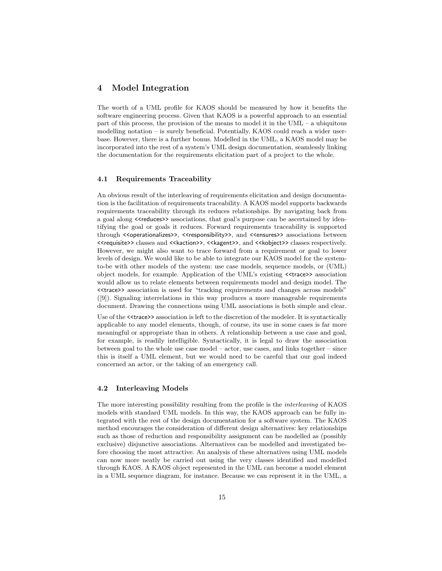## 4 Model Integration

The worth of a UML profile for KAOS should be measured by how it benefits the software engineering process. Given that KAOS is a powerful approach to an essential part of this process, the provision of the means to model it in the UML – a ubiquitous modelling notation – is surely beneficial. Potentially, KAOS could reach a wider userbase. However, there is a further bonus. Modelled in the UML, a KAOS model may be incorporated into the rest of a system's UML design documentation, seamlessly linking the documentation for the requirements elicitation part of a project to the whole.

#### 4.1 Requirements Traceability

An obvious result of the interleaving of requirements elicitation and design documentation is the facilitation of requirements traceability. A KAOS model supports backwards requirements traceability through its reduces relationships. By navigating back from a goal along  $\leq$ reduces>> associations, that goal's purpose can be ascertained by identifying the goal or goals it reduces. Forward requirements traceability is supported through <<operationalizes>>, <<responsibility>>, and <<ensures>> associations between <<requisite>> classes and <<kaction>>, <<kagent>>, and <<kobject>> classes respectively. However, we might also want to trace forward from a requirement or goal to lower levels of design. We would like to be able to integrate our KAOS model for the systemto-be with other models of the system: use case models, sequence models, or (UML) object models, for example. Application of the UML's existing <<trace>> association would allow us to relate elements between requirements model and design model. The <<trace>> association is used for "tracking requirements and changes across models" ([9]). Signaling interrelations in this way produces a more manageable requirements document. Drawing the connections using UML associations is both simple and clear.

Use of the  $\leq$ trace>> association is left to the discretion of the modeler. It is syntactically applicable to any model elements, though, of course, its use in some cases is far more meaningful or appropriate than in others. A relationship between a use case and goal, for example, is readily intelligible. Syntactically, it is legal to draw the association between goal to the whole use case model – actor, use cases, and links together – since this is itself a UML element, but we would need to be careful that our goal indeed concerned an actor, or the taking of an emergency call.

#### 4.2 Interleaving Models

The more interesting possibility resulting from the profile is the interleaving of KAOS models with standard UML models. In this way, the KAOS approach can be fully integrated with the rest of the design documentation for a software system. The KAOS method encourages the consideration of different design alternatives: key relationships such as those of reduction and responsibility assignment can be modelled as (possibly exclusive) disjunctive associations. Alternatives can be modelled and investigated before choosing the most attractive. An analysis of these alternatives using UML models can now more neatly be carried out using the very classes identified and modelled through KAOS. A KAOS object represented in the UML can become a model element in a UML sequence diagram, for instance. Because we can represent it in the UML, a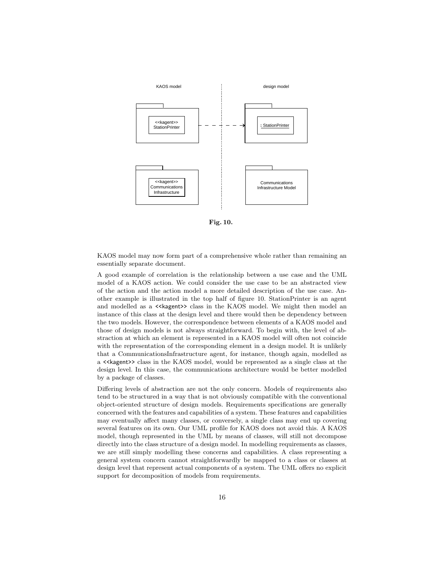

Fig. 10.

KAOS model may now form part of a comprehensive whole rather than remaining an essentially separate document.

A good example of correlation is the relationship between a use case and the UML model of a KAOS action. We could consider the use case to be an abstracted view of the action and the action model a more detailed description of the use case. Another example is illustrated in the top half of figure 10. StationPrinter is an agent and modelled as a  $\le$ kagent>> class in the KAOS model. We might then model an instance of this class at the design level and there would then be dependency between the two models. However, the correspondence between elements of a KAOS model and those of design models is not always straightforward. To begin with, the level of abstraction at which an element is represented in a KAOS model will often not coincide with the representation of the corresponding element in a design model. It is unlikely that a CommunicationsInfrastructure agent, for instance, though again, modelled as a <<kagent>> class in the KAOS model, would be represented as a single class at the design level. In this case, the communications architecture would be better modelled by a package of classes.

Differing levels of abstraction are not the only concern. Models of requirements also tend to be structured in a way that is not obviously compatible with the conventional object-oriented structure of design models. Requirements specifications are generally concerned with the features and capabilities of a system. These features and capabilities may eventually affect many classes, or conversely, a single class may end up covering several features on its own. Our UML profile for KAOS does not avoid this. A KAOS model, though represented in the UML by means of classes, will still not decompose directly into the class structure of a design model. In modelling requirements as classes, we are still simply modelling these concerns and capabilities. A class representing a general system concern cannot straightforwardly be mapped to a class or classes at design level that represent actual components of a system. The UML offers no explicit support for decomposition of models from requirements.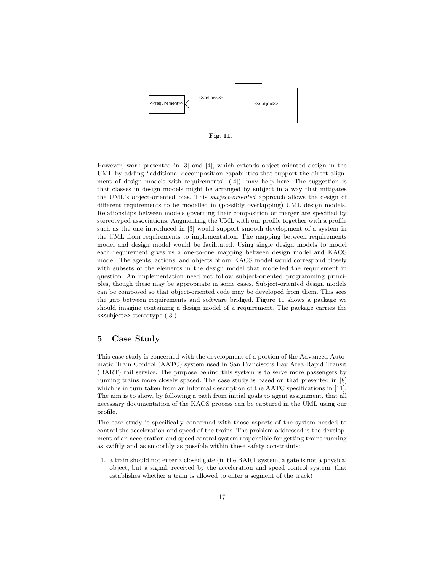

Fig. 11.

However, work presented in [3] and [4], which extends object-oriented design in the UML by adding "additional decomposition capabilities that support the direct alignment of design models with requirements" ([4]), may help here. The suggestion is that classes in design models might be arranged by subject in a way that mitigates the UML's object-oriented bias. This subject-oriented approach allows the design of different requirements to be modelled in (possibly overlapping) UML design models. Relationships between models governing their composition or merger are specified by stereotyped associations. Augmenting the UML with our profile together with a profile such as the one introduced in [3] would support smooth development of a system in the UML from requirements to implementation. The mapping between requirements model and design model would be facilitated. Using single design models to model each requirement gives us a one-to-one mapping between design model and KAOS model. The agents, actions, and objects of our KAOS model would correspond closely with subsets of the elements in the design model that modelled the requirement in question. An implementation need not follow subject-oriented programming principles, though these may be appropriate in some cases. Subject-oriented design models can be composed so that object-oriented code may be developed from them. This sees the gap between requirements and software bridged. Figure 11 shows a package we should imagine containing a design model of a requirement. The package carries the <<subject>> stereotype ([3]).

### 5 Case Study

This case study is concerned with the development of a portion of the Advanced Automatic Train Control (AATC) system used in San Francisco's Bay Area Rapid Transit (BART) rail service. The purpose behind this system is to serve more passengers by running trains more closely spaced. The case study is based on that presented in [8] which is in turn taken from an informal description of the AATC specifications in [11]. The aim is to show, by following a path from initial goals to agent assignment, that all necessary documentation of the KAOS process can be captured in the UML using our profile.

The case study is specifically concerned with those aspects of the system needed to control the acceleration and speed of the trains. The problem addressed is the development of an acceleration and speed control system responsible for getting trains running as swiftly and as smoothly as possible within these safety constraints:

1. a train should not enter a closed gate (in the BART system, a gate is not a physical object, but a signal, received by the acceleration and speed control system, that establishes whether a train is allowed to enter a segment of the track)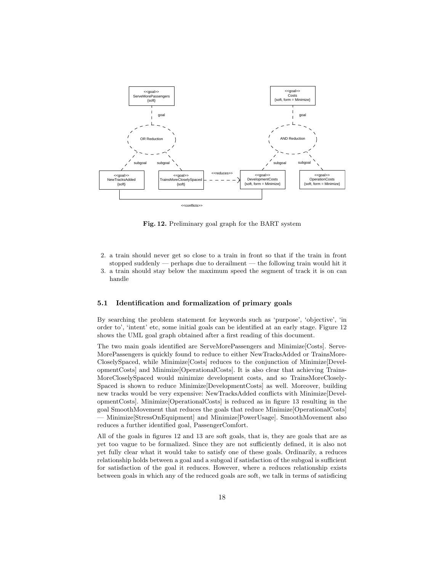

Fig. 12. Preliminary goal graph for the BART system

2. a train should never get so close to a train in front so that if the train in front stopped suddenly — perhaps due to derailment — the following train would hit it 3. a train should stay below the maximum speed the segment of track it is on can

#### 5.1 Identification and formalization of primary goals

handle

By searching the problem statement for keywords such as 'purpose', 'objective', 'in order to', 'intent' etc, some initial goals can be identified at an early stage. Figure 12 shows the UML goal graph obtained after a first reading of this document.

The two main goals identified are ServeMorePassengers and Minimize[Costs]. Serve-MorePassengers is quickly found to reduce to either NewTracksAdded or TrainsMore-CloselySpaced, while Minimize[Costs] reduces to the conjunction of Minimize[DevelopmentCosts] and Minimize[OperationalCosts]. It is also clear that achieving Trains-MoreCloselySpaced would minimize development costs, and so TrainsMoreClosely-Spaced is shown to reduce Minimize[DevelopmentCosts] as well. Moreover, building new tracks would be very expensive: NewTracksAdded conflicts with Minimize[DevelopmentCosts]. Minimize[OperationalCosts] is reduced as in figure 13 resulting in the goal SmoothMovement that reduces the goals that reduce Minimize[OperationalCosts] — Minimize[StressOnEquipment] and Minimize[PowerUsage]. SmoothMovement also reduces a further identified goal, PassengerComfort.

All of the goals in figures 12 and 13 are soft goals, that is, they are goals that are as yet too vague to be formalized. Since they are not sufficiently defined, it is also not yet fully clear what it would take to satisfy one of these goals. Ordinarily, a reduces relationship holds between a goal and a subgoal if satisfaction of the subgoal is sufficient for satisfaction of the goal it reduces. However, where a reduces relationship exists between goals in which any of the reduced goals are soft, we talk in terms of satisficing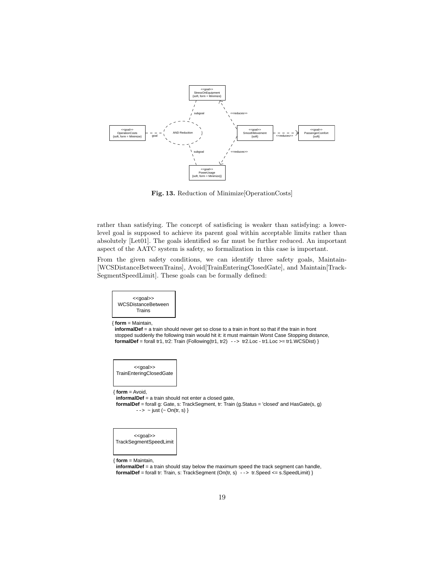

Fig. 13. Reduction of Minimize[OperationCosts]

rather than satisfying. The concept of satisficing is weaker than satisfying: a lowerlevel goal is supposed to achieve its parent goal within acceptable limits rather than absolutely [Let01]. The goals identified so far must be further reduced. An important aspect of the AATC system is safety, so formalization in this case is important.

From the given safety conditions, we can identify three safety goals, Maintain- [WCSDistanceBetweenTrains], Avoid[TrainEnteringClosedGate], and Maintain[Track-SegmentSpeedLimit]. These goals can be formally defined:



 $\{$  **form** = Maintain,

**informalDef** = a train should never get so close to a train in front so that if the train in front stopped suddenly the following train would hit it: it must maintain Worst Case Stopping distance, formalDef = forall tr1, tr2: Train (Following(tr1, tr2) --> tr2.Loc - tr1.Loc >= tr1.WCSDist) }

<<goal>> TrainEnteringClosedGate

 $\{ form = Avoid,$ 

 **informalDef** = a train should not enter a closed gate,

 **formalDef** = forall g: Gate, s: TrackSegment, tr: Train (g.Status = 'closed' and HasGate(s, g) --> ~ just (~ On(tr, s) }

<<goal>> TrackSegmentSpeedLimit

{ **form** = Maintain,

**informalDef** = a train should stay below the maximum speed the track segment can handle, **formalDef** = forall tr: Train, s: TrackSegment (On(tr, s) --> tr.Speed <= s.SpeedLimit) }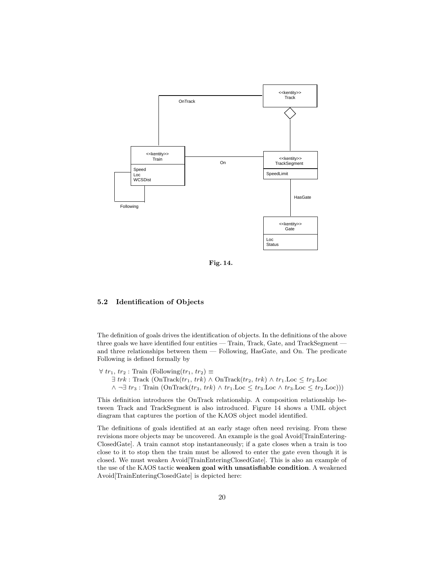

Fig. 14.

#### 5.2 Identification of Objects

The definition of goals drives the identification of objects. In the definitions of the above three goals we have identified four entities — Train, Track, Gate, and TrackSegment and three relationships between them — Following, HasGate, and On. The predicate Following is defined formally by

 $\forall$  tr<sub>1</sub>, tr<sub>2</sub>: Train (Following(tr<sub>1</sub>, tr<sub>2</sub>)  $\equiv$  $\exists trk : \text{Track}(On\text{Track}(tr_1, trk) \wedge \text{OnTrack}(tr_2, trk) \wedge tr_1.\text{Loc} \leq tr_2.\text{Loc}$  $\land \neg \exists tr_3 : \text{Train (OnTrack}(tr_3, trk) \land tr_1. Loc \leq tr_3. Loc \land tr_3. Loc \leq tr_2. Loc))$ 

This definition introduces the OnTrack relationship. A composition relationship between Track and TrackSegment is also introduced. Figure 14 shows a UML object diagram that captures the portion of the KAOS object model identified.

The definitions of goals identified at an early stage often need revising. From these revisions more objects may be uncovered. An example is the goal Avoid[TrainEntering-ClosedGate]. A train cannot stop instantaneously; if a gate closes when a train is too close to it to stop then the train must be allowed to enter the gate even though it is closed. We must weaken Avoid[TrainEnteringClosedGate]. This is also an example of the use of the KAOS tactic weaken goal with unsatisfiable condition. A weakened Avoid[TrainEnteringClosedGate] is depicted here: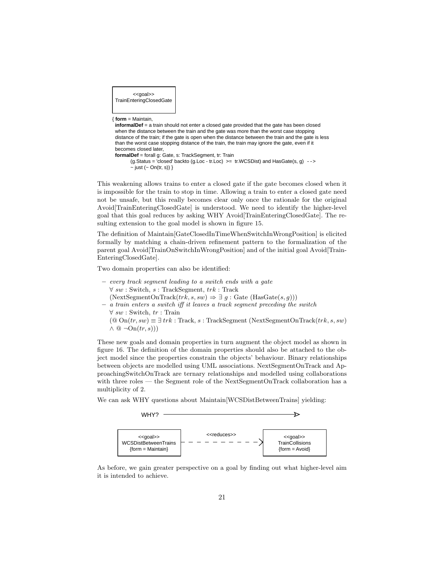

{ **form** = Maintain,

**informalDef** = a train should not enter a closed gate provided that the gate has been closed when the distance between the train and the gate was more than the worst case stopping distance of the train; if the gate is open when the distance between the train and the gate is less than the worst case stopping distance of the train, the train may ignore the gate, even if it becomes closed later,

 **formalDef** = forall g: Gate, s: TrackSegment, tr: Train (g.Status = 'closed' backto (g.Loc - tr.Loc) >= tr.WCSDist) and HasGate(s, g) -->  $\sim$  just ( $\sim$  On(tr, s)) }

This weakening allows trains to enter a closed gate if the gate becomes closed when it is impossible for the train to stop in time. Allowing a train to enter a closed gate need not be unsafe, but this really becomes clear only once the rationale for the original Avoid[TrainEnteringClosedGate] is understood. We need to identify the higher-level goal that this goal reduces by asking WHY Avoid[TrainEnteringClosedGate]. The resulting extension to the goal model is shown in figure 15.

The definition of Maintain[GateClosedInTimeWhenSwitchInWrongPosition] is elicited formally by matching a chain-driven refinement pattern to the formalization of the parent goal Avoid[TrainOnSwitchInWrongPosition] and of the initial goal Avoid[Train-EnteringClosedGate].

Two domain properties can also be identified:

– every track segment leading to a switch ends with a gate ∀ sw : Switch, s : TrackSegment, trk : Track  $(NextSegmentOnTrack(trk, s, sw) \Rightarrow \exists g : Gate (HasGate(s, g)))$ – a train enters a switch iff it leaves a track segment preceding the switch  $\forall sw : Switch, tr : Train$  $(@ On(tr, sw) ≡ ∃ trk : Track, s : TrackSegment (NextSegmentOnTrack(trk, s, sw))$  $\wedge \, \textcircled{a} \, \neg \text{On}(tr, s))$ 

These new goals and domain properties in turn augment the object model as shown in figure 16. The definition of the domain properties should also be attached to the object model since the properties constrain the objects' behaviour. Binary relationships between objects are modelled using UML associations. NextSegmentOnTrack and ApproachingSwitchOnTrack are ternary relationships and modelled using collaborations with three roles — the Segment role of the NextSegmentOnTrack collaboration has a multiplicity of 2.

We can ask WHY questions about Maintain[WCSDistBetweenTrains] yielding:



As before, we gain greater perspective on a goal by finding out what higher-level aim it is intended to achieve.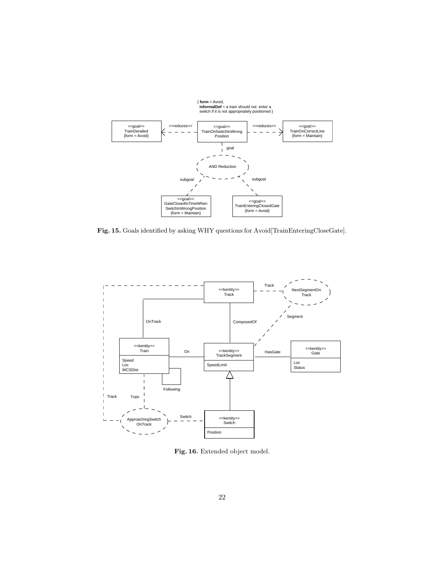

Fig. 15. Goals identified by asking WHY questions for Avoid[TrainEnteringCloseGate].



Fig. 16. Extended object model.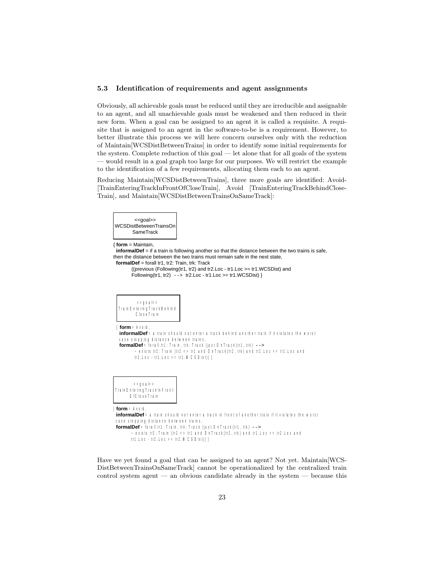#### 5.3 Identification of requirements and agent assignments

Obviously, all achievable goals must be reduced until they are irreducible and assignable to an agent, and all unachievable goals must be weakened and then reduced in their new form. When a goal can be assigned to an agent it is called a requisite. A requisite that is assigned to an agent in the software-to-be is a requirement. However, to better illustrate this process we will here concern ourselves only with the reduction of Maintain[WCSDistBetweenTrains] in order to identify some initial requirements for the system. Complete reduction of this goal — let alone that for all goals of the system — would result in a goal graph too large for our purposes. We will restrict the example to the identification of a few requirements, allocating them each to an agent.

Reducing Maintain[WCSDistBetweenTrains], three more goals are identified: Avoid- [TrainEnteringTrackInFrontOfCloseTrain], Avoid [TrainEnteringTrackBehindClose-Train], and Maintain[WCSDistBetweenTrainsOnSameTrack]:



{ **form** = Maintain,

**informalDef** = if a train is following another so that the distance between the two trains is safe, then the distance between the two trains must remain safe in the next state,

 **formalDef** = forall tr1, tr2: Train, trk: Track

((previous (Following(tr1, tr2) and tr2.Loc - tr1.Loc >= tr1.WCSDist) and Following(tr1, tr2)  $--$  tr2.Loc - tr1.Loc >= tr1.WCSDist) }

| $\le$ goal>>             |
|--------------------------|
| TrainEnteringTrackBehind |
| CloseTrain               |

 $\{$  **form** = Avoid,



<<goal>> TrainEnteringTrackInFront **OfCloseTrain** 

 $\{$  **form** = Avoid,

**informalDef** = a train should not enter a track in front of another train if it violates the worst case stopping distance between trains,

Have we yet found a goal that can be assigned to an agent? Not yet. Maintain[WCS-DistBetweenTrainsOnSameTrack] cannot be operationalized by the centralized train control system agent — an obvious candidate already in the system — because this

**formalDef** = forall tr1: Train, trk: Track (just OnTrack(tr1, trk) -->

<sup>~</sup> exists tr2: Train (tr2 <> tr1 and OnTrack(tr2, trk) and tr1.Loc >= tr2.Loc and

 $tr1.Loc - tr2.Loc = tr2.WCSDist)$ }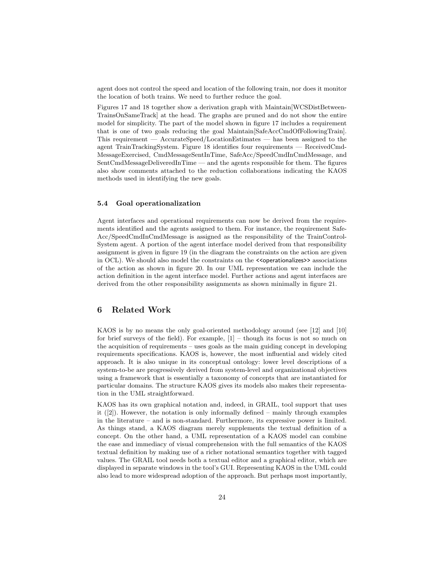agent does not control the speed and location of the following train, nor does it monitor the location of both trains. We need to further reduce the goal.

Figures 17 and 18 together show a derivation graph with Maintain[WCSDistBetween-TrainsOnSameTrack] at the head. The graphs are pruned and do not show the entire model for simplicity. The part of the model shown in figure 17 includes a requirement that is one of two goals reducing the goal Maintain[SafeAccCmdOfFollowingTrain]. This requirement — AccurateSpeed/LocationEstimates — has been assigned to the agent TrainTrackingSystem. Figure 18 identifies four requirements — ReceivedCmd-MessageExercised, CmdMessageSentInTime, SafeAcc/SpeedCmdInCmdMessage, and SentCmdMessageDeliveredInTime — and the agents responsible for them. The figures also show comments attached to the reduction collaborations indicating the KAOS methods used in identifying the new goals.

#### 5.4 Goal operationalization

Agent interfaces and operational requirements can now be derived from the requirements identified and the agents assigned to them. For instance, the requirement Safe-Acc/SpeedCmdInCmdMessage is assigned as the responsibility of the TrainControl-System agent. A portion of the agent interface model derived from that responsibility assignment is given in figure 19 (in the diagram the constraints on the action are given in OCL). We should also model the constraints on the <<operationalizes>> associations of the action as shown in figure 20. In our UML representation we can include the action definition in the agent interface model. Further actions and agent interfaces are derived from the other responsibility assignments as shown minimally in figure 21.

## 6 Related Work

KAOS is by no means the only goal-oriented methodology around (see [12] and [10] for brief surveys of the field). For example,  $[1]$  – though its focus is not so much on the acquisition of requirements – uses goals as the main guiding concept in developing requirements specifications. KAOS is, however, the most influential and widely cited approach. It is also unique in its conceptual ontology: lower level descriptions of a system-to-be are progressively derived from system-level and organizational objectives using a framework that is essentially a taxonomy of concepts that are instantiated for particular domains. The structure KAOS gives its models also makes their representation in the UML straightforward.

KAOS has its own graphical notation and, indeed, in GRAIL, tool support that uses it  $([2])$ . However, the notation is only informally defined – mainly through examples in the literature – and is non-standard. Furthermore, its expressive power is limited. As things stand, a KAOS diagram merely supplements the textual definition of a concept. On the other hand, a UML representation of a KAOS model can combine the ease and immediacy of visual comprehension with the full semantics of the KAOS textual definition by making use of a richer notational semantics together with tagged values. The GRAIL tool needs both a textual editor and a graphical editor, which are displayed in separate windows in the tool's GUI. Representing KAOS in the UML could also lead to more widespread adoption of the approach. But perhaps most importantly,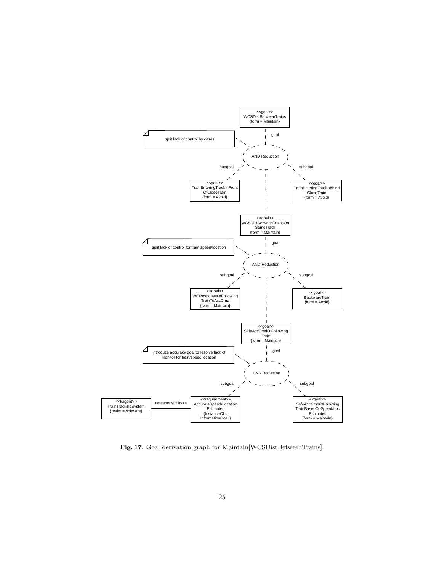

Fig. 17. Goal derivation graph for Maintain[WCSDistBetweenTrains].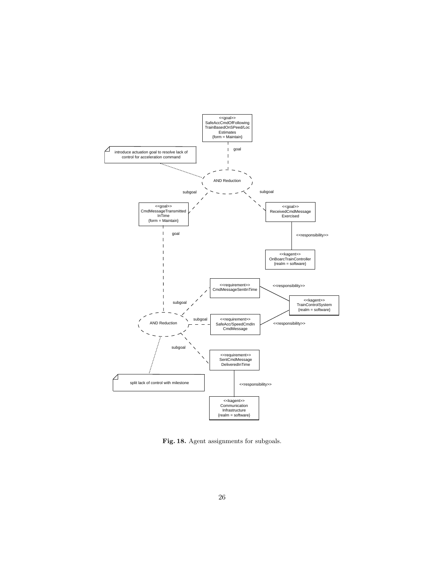

Fig. 18. Agent assignments for subgoals.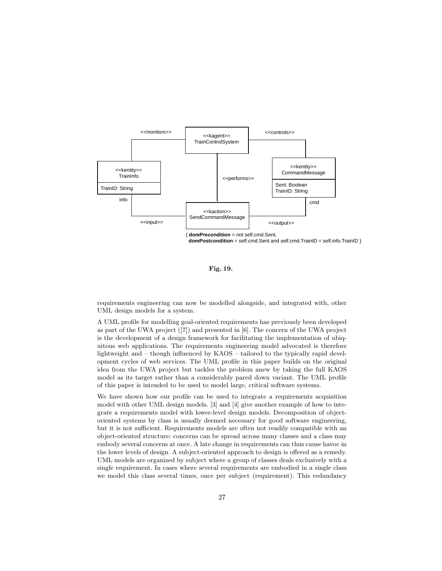

Fig. 19.

requirements engineering can now be modelled alongside, and integrated with, other UML design models for a system.

A UML profile for modelling goal-oriented requirements has previously been developed as part of the UWA project ([7]) and presented in [6]. The concern of the UWA project is the development of a design framework for facilitating the implementation of ubiquitous web applications. The requirements engineering model advocated is therefore lightweight and – though influenced by KAOS – tailored to the typically rapid development cycles of web services. The UML profile in this paper builds on the original idea from the UWA project but tackles the problem anew by taking the full KAOS model as its target rather than a considerably pared down variant. The UML profile of this paper is intended to be used to model large, critical software systems.

We have shown how our profile can be used to integrate a requirements acquisition model with other UML design models. [3] and [4] give another example of how to integrate a requirements model with lower-level design models. Decomposition of objectoriented systems by class is usually deemed necessary for good software engineering, but it is not sufficient. Requirements models are often not readily compatible with an object-oriented structure: concerns can be spread across many classes and a class may embody several concerns at once. A late change in requirements can thus cause havoc in the lower levels of design. A subject-oriented approach to design is offered as a remedy. UML models are organized by subject where a group of classes deals exclusively with a single requirement. In cases where several requirements are embodied in a single class we model this class several times, once per subject (requirement). This redundancy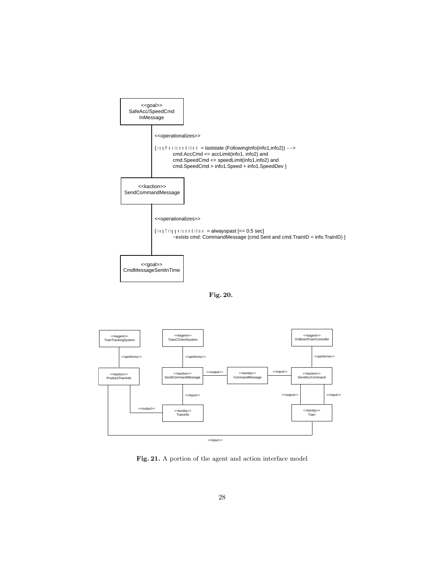

Fig. 20.



Fig. 21. A portion of the agent and action interface model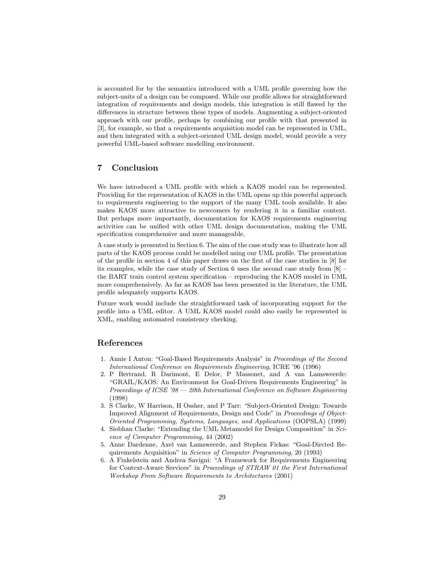is accounted for by the semantics introduced with a UML profile governing how the subject-units of a design can be composed. While our profile allows for straightforward integration of requirements and design models, this integration is still flawed by the differences in structure between these types of models. Augmenting a subject-oriented approach with our profile, perhaps by combining our profile with that presented in [3], for example, so that a requirements acquisition model can be represented in UML, and then integrated with a subject-oriented UML design model, would provide a very powerful UML-based software modelling environment.

## 7 Conclusion

We have introduced a UML profile with which a KAOS model can be represented. Providing for the representation of KAOS in the UML opens up this powerful approach to requirements engineering to the support of the many UML tools available. It also makes KAOS more attractive to newcomers by rendering it in a familiar context. But perhaps more importantly, documentation for KAOS requirements engineering activities can be unified with other UML design documentation, making the UML specification comprehensive and more manageable.

A case study is presented in Section 6. The aim of the case study was to illustrate how all parts of the KAOS process could be modelled using our UML profile. The presentation of the profile in section 4 of this paper draws on the first of the case studies in [8] for its examples, while the case study of Section 6 uses the second case study from [8] – the BART train control system specification – reproducing the KAOS model in UML more comprehensively. As far as KAOS has been presented in the literature, the UML profile adequately supports KAOS.

Future work would include the straightforward task of incorporating support for the profile into a UML editor. A UML KAOS model could also easily be represented in XML, enabling automated consistency checking.

## References

- 1. Annie I Anton: "Goal-Based Requirements Analysis" in Proceedings of the Second International Conference on Requirements Engineering, ICRE '96 (1996)
- 2. P Bertrand, R Darimont, E Delor, P Massonet, and A van Lamsweerde: "GRAIL/KAOS: An Environment for Goal-Driven Requirements Engineering" in Proceedings of ICSE '98 — 20th International Conference on Software Engineering (1998)
- 3. S Clarke, W Harrison, H Ossher, and P Tarr: "Subject-Oriented Design: Towards Improved Alignment of Requirements, Design and Code" in Proceedings of Object-Oriented Programming, Systems, Languages, and Applications (OOPSLA) (1999)
- 4. Siobhan Clarke: "Extending the UML Metamodel for Design Composition" in Science of Computer Programming, 44 (2002)
- 5. Anne Dardenne, Axel van Lamsweerde, and Stephen Fickas: "Goal-Dircted Requirements Acquisition" in Science of Computer Programming, 20 (1993)
- 6. A Finkelstein and Andrea Savigni: "A Framework for Requirements Engineering for Context-Aware Services" in Proceedings of STRAW 01 the First International Workshop From Software Requirements to Architectures (2001)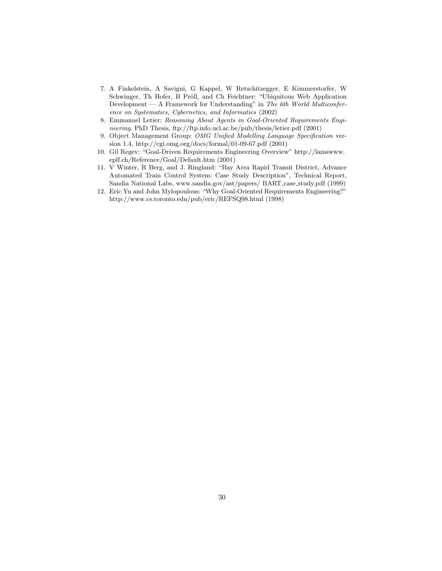- 7. A Finkelstein, A Savigni, G Kappel, W Retschitzegger, E Kimmerstorfer, W Schwinger, Th Hofer, B Pröll, and Ch Feichtner: "Ubiquitous Web Application Development — A Framework for Understanding" in The 6th World Multiconference on Systematics, Cybernetics, and Informatics (2002)
- 8. Emmanuel Letier: Reasoning About Agents in Goal-Oriented Requirements Engineering, PhD Thesis, ftp://ftp.info.ucl.ac.be/pub/thesis/letier.pdf (2001)
- 9. Object Management Group: OMG Unified Modelling Language Specification version 1.4, http://cgi.omg.org/docs/formal/01-09-67.pdf (2001)
- 10. Gil Regev: "Goal-Driven Requirements Engineering Overview" http://lamswww. eplf.ch/Reference/Goal/Default.htm (2001)
- 11. V Winter, R Berg, and J. Ringland: "Bay Area Rapid Transit District, Advance Automated Train Control System: Case Study Description", Technical Report, Sandia National Labs, www.sandia.gov/ast/papers/ BART case study.pdf (1999)
- 12. Eric Yu and John Mylopoulous: "Why Goal-Oriented Requirements Engineering?" http://www.cs.toronto.edu/pub/eric/REFSQ98.html (1998)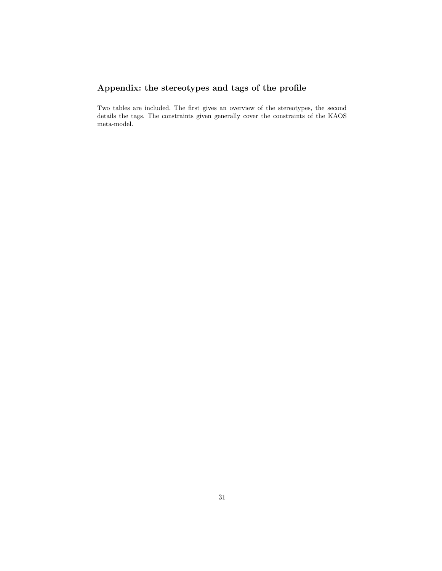# Appendix: the stereotypes and tags of the profile

Two tables are included. The first gives an overview of the stereotypes, the second details the tags. The constraints given generally cover the constraints of the KAOS meta-model.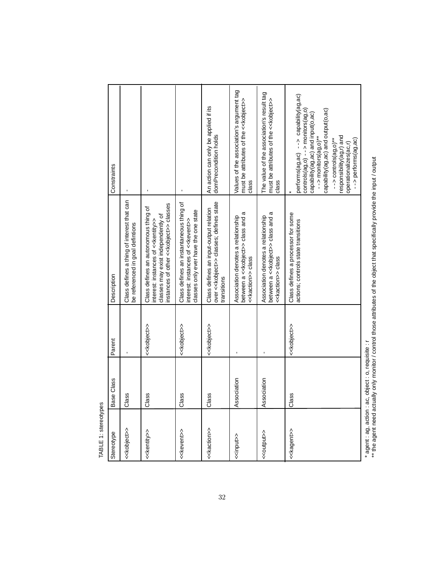| Stereotype                | Base Class  | Parent                    | Description                                                                                                                                                  | Constraints                                                                                                                                                                                                                                                                           |
|---------------------------|-------------|---------------------------|--------------------------------------------------------------------------------------------------------------------------------------------------------------|---------------------------------------------------------------------------------------------------------------------------------------------------------------------------------------------------------------------------------------------------------------------------------------|
| < <kobject></kobject>     | Class       |                           | Class defines a thing of interest that can<br>be referenced in goal defintions                                                                               |                                                                                                                                                                                                                                                                                       |
| < <kentity>&gt;</kentity> | Class       | < <kobject></kobject>     | instances of other << kobject>> classes<br>Class defines an autonomous thing of<br>classes may exist independently of<br>interest: instances of << kentity>> |                                                                                                                                                                                                                                                                                       |
| < <kevent>&gt;</kevent>   | Class       | < <kobject>&gt;</kobject> | Class defines an instantaneous thing of<br>classes only ever have the one state<br>interest: instances of << kevent>>                                        |                                                                                                                                                                                                                                                                                       |
| < <kaction>&gt;</kaction> | Class       | < <kobject>&gt;</kobject> | over << kobject>> classes; defines state<br>Class defines an input-output relation<br>transitions                                                            | An action can only be applied if its<br>domPrecondition holds                                                                                                                                                                                                                         |
| < <input/>                | Association |                           | between a << kobject>> class and a<br>Association denotes a relationship<br><< kaction>> class                                                               | Values of the association's argument tag<br>must be attributes of the << kobject><br>class                                                                                                                                                                                            |
| < <output></output>       | Association |                           | between a << kobject>> class and a<br>Association denotes a relationship<br><< kaction>> class                                                               | The value of the association's result tag<br>must be attributes of the << kobject>><br>class                                                                                                                                                                                          |
| < <kagent>&gt;</kagent>   | Class       | < <kobject>&gt;</kobject> | Class defines a processor for some<br>actions; controls state transitions                                                                                    | performs(ag,ac) --> capability(ag,ac)<br>controls(ag,o) --> monitors(ag,o)<br>capability(ag, ac) and output(o, ac)<br>capability(ag,ac) and input(o,ac)<br>esponsibility(ag,r) and<br>$--$ monitors(ag,o)**<br>-- > performs(ag,ac)<br>--> controls(ag, o)**<br>operationalizes(ac,r) |

\* agent : ag, action : ac, object : o, requisite : r<br>\*\* the agent need actually only monitor / control those attributes of the object that specifically provide the input / output \*\* the agent need actually only monitor / control those attributes of the object that specifically provide the input / output \* agent : ag, action : ac, object : o, requisite : r

H, ABLE 1: stereotypes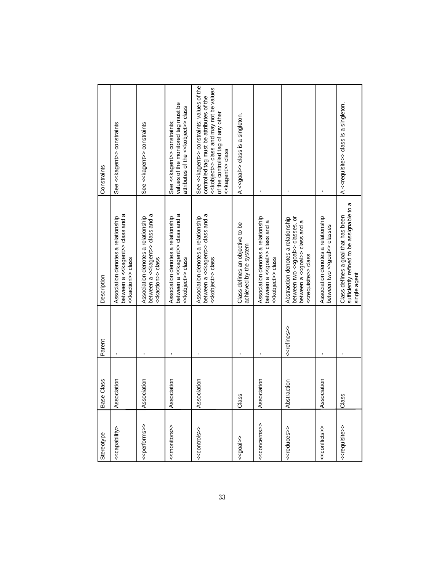| Base Class  | Parent                    | Description                                                                                                                                       | Constraints                                                                                                                                                                                               |  |
|-------------|---------------------------|---------------------------------------------------------------------------------------------------------------------------------------------------|-----------------------------------------------------------------------------------------------------------------------------------------------------------------------------------------------------------|--|
| Association |                           | between a << kagent>> class and a<br>Association denotes a relationship<br><< kaction>> class                                                     | See << kagent>> constraints                                                                                                                                                                               |  |
| Association |                           | between a << kagent>> class and a<br>Association denotes a relationship<br><< kaction>> class                                                     | See << kagent>> constraints                                                                                                                                                                               |  |
| Association |                           | between a << kagent>> class and a<br>Association denotes a relationship<br><< kobject>> class                                                     | values of the monitored tag must be<br>attributes of the << kobject>> class<br>See << kagent>> constraints;                                                                                               |  |
| Association |                           | between a << kagent>> class and a<br>Association denotes a relationship<br><< kobject>> class                                                     | See << kagent>> constraints; values of the<br><< kobject>> class and may not be values<br>controlled tag must be attributes of the<br>of the controlled tag of any other<br>< <kagent>&gt; class</kagent> |  |
| Class       |                           | Class defines an objective to be<br>achieved by the system                                                                                        | A << goal>> class is a singleton.                                                                                                                                                                         |  |
| Association |                           | Association denotes a relationship<br>between a << goal>> class and a<br><< kobject>> class                                                       |                                                                                                                                                                                                           |  |
| Abstraction | < <refines>&gt;</refines> | Abstraction denotes a relationship<br>between two << goal>> classes, or<br>between a << goal>> class and a<br>< <requisite>&gt; class</requisite> |                                                                                                                                                                                                           |  |
| Association |                           | Association denotes a relationship<br>between two << goal>> classes                                                                               |                                                                                                                                                                                                           |  |
| Class       |                           | sufficiently refined to be assignable to a<br>Class defines a goal that has been<br>single agent                                                  | A < <requisite>&gt; class is a singleton.</requisite>                                                                                                                                                     |  |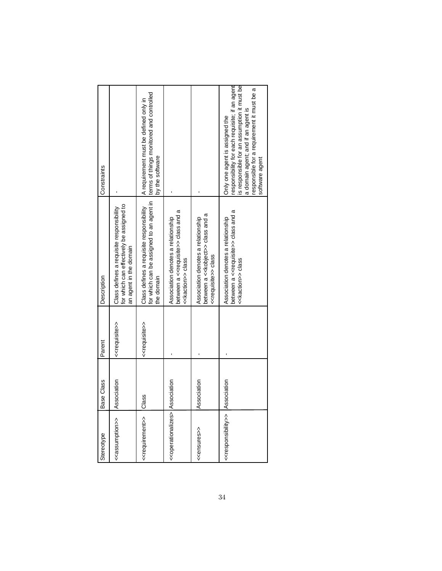| Stereotype                               | Base Class  | Parent                        | Description                                                                                                                      | Constraints                                                                                                                                                                                                                          |
|------------------------------------------|-------------|-------------------------------|----------------------------------------------------------------------------------------------------------------------------------|--------------------------------------------------------------------------------------------------------------------------------------------------------------------------------------------------------------------------------------|
| < <assumption></assumption>              | ssociation  | < <requisite></requisite>     | for which can effectively be assigned to<br>Class defines a requisite responsibility<br>an agent in the domain                   |                                                                                                                                                                                                                                      |
| < <requirement></requirement>            | Cass.       | < <requisite>&gt;</requisite> | for which can be assigned to an agent in<br>Class defines a requisite responsibility<br>the domain                               | terms of things monitored and controlled<br>A requirement must be defined only in<br>by the software                                                                                                                                 |
| < <operationalizes>  A</operationalizes> | ssociation  |                               | between a << requisite>> class and a<br>Association denotes a relationship<br>< <kaction>&gt; class</kaction>                    |                                                                                                                                                                                                                                      |
| < <ensures>&gt;</ensures>                | Association |                               | between a << kobject>> class and a<br>Association denotes a relationship<br>< <requisite>&gt; class</requisite>                  |                                                                                                                                                                                                                                      |
| < <responsibility>&gt;</responsibility>  | ssociation  |                               | between a < <requisite>&gt; class and a<br/>Association denotes a relationship<br/>&lt;<kaction>&gt; class</kaction></requisite> | is responsible for an assumption it must be<br>esponsibility for each requisite; if an agent<br>responsible for a requirement it must be a<br>a domain agent; and if an agent is<br>Only one agent is assigned the<br>software agent |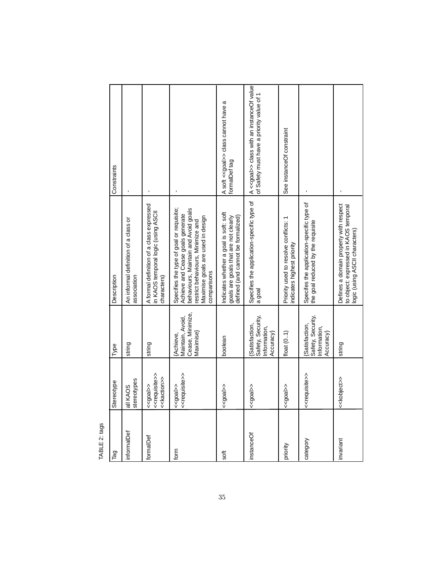| Tag           | Stereotype                                                                          | Type                                                             | Description                                                                                                                                                                                                   | Constraints                                                                             |
|---------------|-------------------------------------------------------------------------------------|------------------------------------------------------------------|---------------------------------------------------------------------------------------------------------------------------------------------------------------------------------------------------------------|-----------------------------------------------------------------------------------------|
| informalDef   | stereotypes<br>all KAOS                                                             | string                                                           | An informal definition of a class or<br>association                                                                                                                                                           |                                                                                         |
| formalDef     | < <requisite><br/>&lt;<kaction>&gt;<br/>&lt;<goal>&gt;</goal></kaction></requisite> | string                                                           | A formal definition of a class expressed<br>in KAOS temporal logic (using ASCII<br>characters)                                                                                                                |                                                                                         |
| form          | < <requisite><br/>&lt;<goal>&gt;</goal></requisite>                                 | Cease, Minimize,<br>Maintain, Avoid,<br>Maximise}<br>(Achieve,   | Specifies the type of goal or requisite;<br>behaviours, Maintain and Avoid goals<br>Achieve and Cease goals generate<br>Maximise goals are used in design<br>restrict behaviours, Minimize and<br>comparisons |                                                                                         |
| $\frac{4}{3}$ | < <goal>&gt;</goal>                                                                 | hoolean                                                          | Indicates whether a goal is soft: soft<br>defined (and cannot be formalized)<br>goals are goals that are not clearly                                                                                          | A soft << goal> > class cannot have a<br>formalDef tag                                  |
| instanceOf    | < <goal>&gt;</goal>                                                                 | Safety, Security,<br>(Satisfaction,<br>Information,<br>Accuracy} | Specifies the application-specific type of<br>la goal                                                                                                                                                         | A << goal>> class with an instanceOf value<br>of Safety must have a priority value of 1 |
| priority      | < <goal>&gt;</goal>                                                                 | float $(01)$                                                     | Priority used to resolve conflicts: 1<br>indicates highest priority                                                                                                                                           | See instanceOf constraint                                                               |
| category      | < <requisite></requisite>                                                           | Safety, Security,<br>(Satisfaction,<br>Information,<br>Accuracy} | Specifes the application-specific type of<br>the goal reduced by the requisite                                                                                                                                |                                                                                         |
| invariant     | < <kobject>&gt;</kobject>                                                           | string                                                           | Defines a domain property with respect<br>to object: expressed in KAOS temporal<br>logic (using ASCII characters)                                                                                             |                                                                                         |

TABLE 2: tags TABLE 2: tags